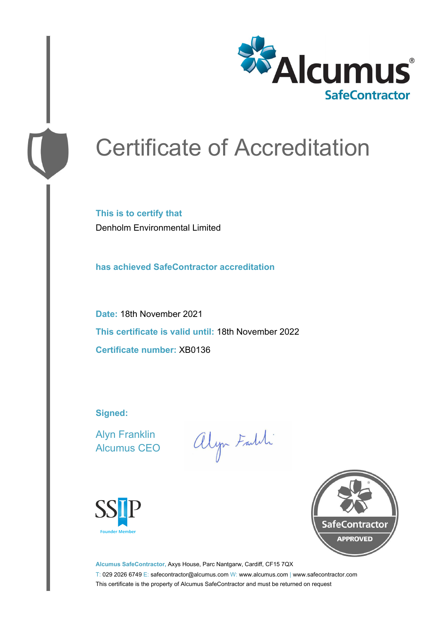

# Certificate of Accreditation

**This is to certify that** Denholm Environmental Limited

**has achieved SafeContractor accreditation**

**Date:** 18th November 2021 **This certificate is valid until:** 18th November 2022 **Certificate number:** XB0136

**Signed:**

Alyn Franklin Alcumus CEO

alyn Faith





**Alcumus SafeContractor,** Axys House, Parc Nantgarw, Cardiff, CF15 7QX T: 029 2026 6749 E: safecontractor@alcumus.com W: www.alcumus.com | www.safecontractor.com This certificate is the property of Alcumus SafeContractor and must be returned on request